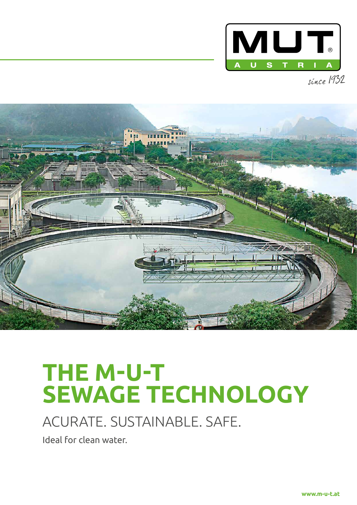



# **THE M-U-T SEWAGE TECHNOLOGY**

# ACURATE. SUSTAINABLE. SAFE.

Ideal for clean water.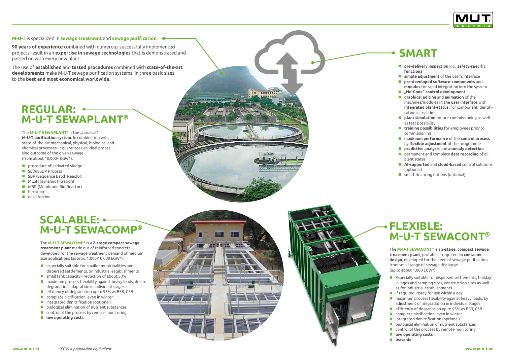### **M-U-T** is specialized in **sewage treatment** and **sewage purification**.

**90 years of experience** combined with numerous successfully implemented projects result in an **expertise in sewage technologies** that is demonstrated and passed on with every new plant.

The use of **established** and **tested procedures** combined with **state-of-the-art developments** make M-U-T sewage purification systems, in three basic sizes, to the **best and most economical worldwide**.

The **M-U-T SEWAPLANT ®** is the "classical" **M-U-T purification system**. In combination with state-of-the-art mechanical, physical, biological and chemical processes, it guarantees an ideal proces sing outcome of the given sewage (from about 10,000+ EGW\*):

- **P** procedure of activated sludge
- **SEWA SDP Process**
- SBR (Sequence Batch Reactor)
- **MESH** (dynamic filtration)
- **MBR** (Membrane Bio-Reactor)
- **Filtration**
- **desinfection**

- $\blacksquare$  especially suitable for smaller municipalities and dispersed settlements, or industrial establishments
- **E** small tank capacity reduction of about 50%
- maximum process flexibility against heavy loads, due to degradation adaptation in individual stages
- $\blacksquare$  efficiency of degradation up to 95% as BSB, CSB
- **Complete nitrification, even in winter**
- integrated denitrification (optional)
- **biological elimination of nutrient substances**
- control of the process by remote monitoring
- **low operating costs**

The **M-U-T SEWACONT ®** is a **2-stage, compact sewage treatment plant**, portable if required, **in container design**, developed for the need of sewage purification from small range of sewage discharge (up to about 1,000 EGW\*): **lease the experimental states for the state of the state of the state of the state of the state of the state of the state and modules for rapid distigration in the system and modules for appliding and animation of the mat** 

The **M-U-T SEWACOMP ®** is a **2-stage compact sewage treatment plant** made out of reinforced concrete, developed for the sewage treatment demand of medium size applications (approx. 1,000-10,000 EGW\*):

- **functions**
- **simple adjustment** of the user's interface
- **pre-developed software-components** and **modules** for rapid integration into the system
- **"No-Code" control development**
- **graphical editing** and **animation** of the machines/modules **in the user interface** with **integrated plant-status**, for component identifi cation in real time
- **plant simulation** for pre-commissioning as well as test possibility
- **training possibilities** for employees prior to commissioning
- **maximum performance** of the **control process**  by **flexible adjustment** of the programme
- **predictive analysis** and **anomaly detection**
- permanent and complete **data recording** of all plant states
- **AI-supported** and **cloud-based** control solutions (optional)
- **E** smart financing options (optional)

- Especially suitable for dispersed settlements, holiday villages and camping sites, construction sites as well as for industrial establishments
- **F** if required, ready for use within a day
- $\blacksquare$  maximum process flexibility against heavy loads, by adjustment of degradation in individual stages
- $\blacksquare$  efficiency of degradation up to 95% as BSB, CSB
- **Complete nitrification, even in winter**
- **I** integrated denitrification (optional)
- **D** biological elimination of nutrient substances
- $\Box$  control of the process by remote monitoring
- **low operating costs**
- 

### **SCALABLE: M-U-T SEWACOMP ®**

### **REGULAR: M-U-T SEWAPLANT ®**

### **FLEXIBLE: M-U-T SEWACONT ®**

## **SMART**

**DE BENDETIN**